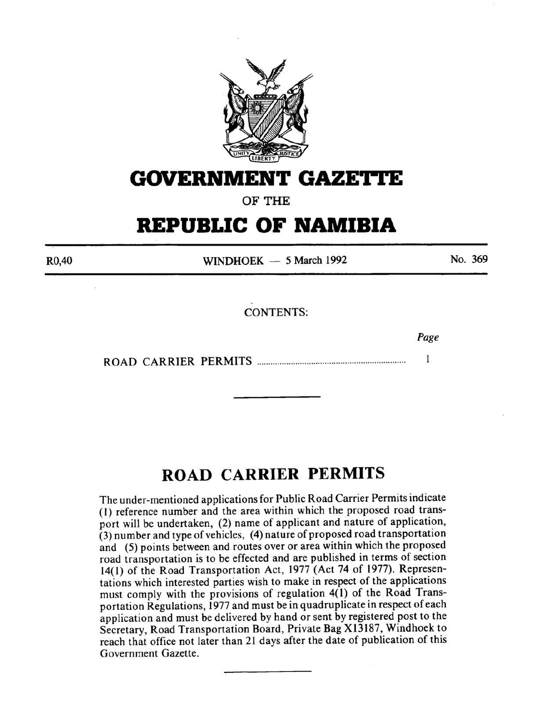

# **GOVERNMENT GAZE'J•J•E**

OF THE

# **REPUBLIC OF NAMIBIA**

R0,40

WINDHOEK  $-5$  March 1992

No. 369

CONTENTS:

*Page* 

ROAD CARRIER PERMITS ................................................................. .  $\mathbf{1}$ 

# **ROAD CARRIER PERMITS**

The under-mentioned applications for Public Road Carrier Permits indicate (I) reference number and the area within which the proposed road transport will be undertaken, (2) name of applicant and nature of application, (3) number and type of vehicles, ( 4) nature of proposed road transportation and (5) points between and routes over or area within which the proposed road transportation is to be effected and are published in terms of section 14(1) of the Road Transportation Act, 1977 (Act 74 of 1977). Representations which interested parties wish to make in respect of the applications must comply with the provisions of regulation 4(1) of the Road Transportation Regulations, 1977 and must be in quadruplicate in respect of each application and must be delivered by hand or sent by registered post to the Secretary, Road Transportation Board, Private Bag Xl3187, Windhoek to reach that office not later than 21 days after the date of publication of this Government Gazette.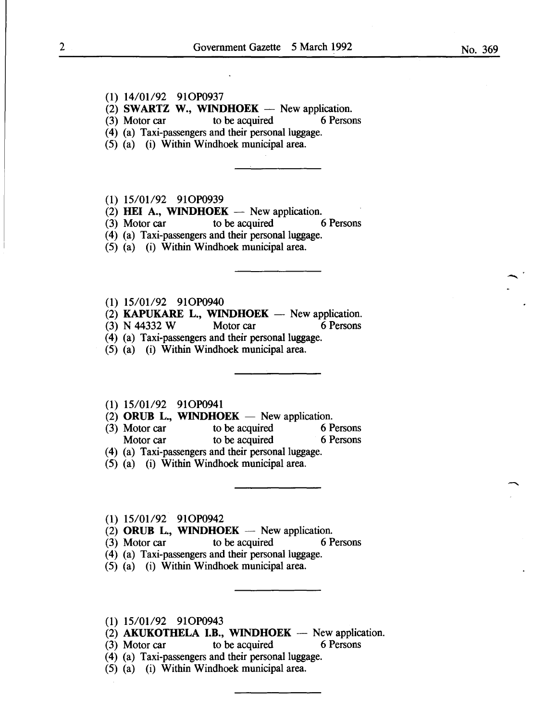- $(1)$  14/01/92 91OP0937
- (2) **SWARTZ W., WINDHOEK** New application.<br>(3) Motor car to be acquired 6 Persons

 $(3)$  Motor car

(4) (a) Taxi-passengers and their personal luggage.

(5) (a) (i) Within Windhoek municipal area.

### $(1)$  15/01/92 91OP0939

(2) **HEI A., WINDHOEK** - New application.<br>(3) Motor car to be acquired 6 Persons

 $(3)$  Motor car to be acquired

(4) (a) Taxi-passengers and their personal luggage.

(5) (a) (i) Within Windhoek municipal area.

 $(1)$  15/01/92 91OP0940

(2) KAPUKARE L., WINDHOEK  $-$  New application.

(3) N 44332 W Motor car 6 Persons

(4) (a) Taxi-passengers and their personal luggage.

(5) (a) (i) Within Windhoek municipal area.

## (1) 15/01/92 91OP0941

(2) ORUB L., WINDHOEK  $-$  New application.

(3) Motor car to be acquired 6 Persons Motor car to be acquired 6 Persons

(4) (a) Taxi-passengers and their personal luggage.

(5) (a) (i) Within Windhoek municipal area.

#### $(1)$  15/01/92 91OP0942

- (2) ORUB L., WINDHOEK  $-$  New application.
- (3) Motor car to be acquired 6 Persons
- ( 4) (a) Taxi-passengers and their personal luggage.
- (5) (a) (i) Within Windhoek municipal area.

# (1) 15/01/92 91OP0943

- $(2)$  AKUKOTHELA I.B., WINDHOEK New application.
- (3) Motor car to be acquired 6 Persons
- (4) (a) Taxi-passengers and their personal luggage.
- (5) (a) (i) Within Windhoek municipal area.

-<br>.<br>.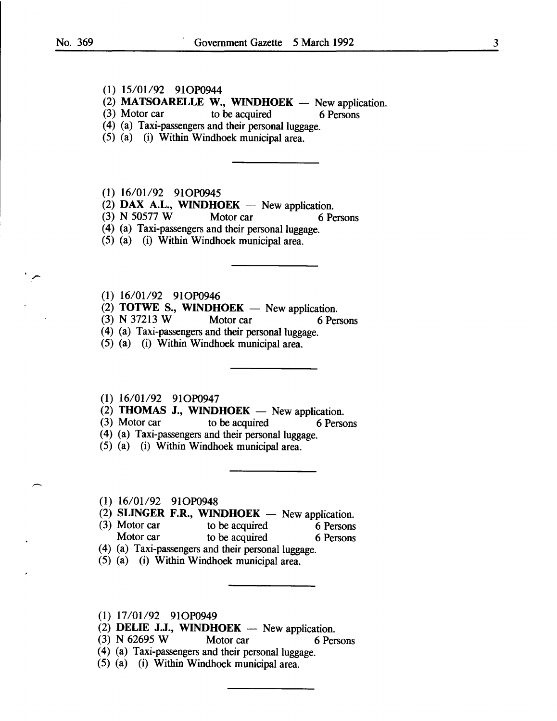# (1) 15/01/92 91OP0944

(2) **MATSOARELLE W., WINDHOEK** - New application.<br>(3) Motor car to be acquired 6 Persons

to be acquired 6 Persons

(4) (a) Taxi-passengers and their personal luggage.

(5) (a) (i) Within Windhoek municipal area.

# (1) 16/01/92 91OP0945

 $(2)$  DAX A.L., WINDHOEK - New application.

(3) N 50577 W Motor car 6 Persons

(4) (a) Taxi-passengers and their personal luggage.

(5) (a) (i) Within Windhoek municipal area.

(1) 16/01/92 91OP0946

 $(2)$  **TOTWE S., WINDHOEK** - New application.

(3) N 37213 W Motor car 6 Persons

(4) (a) Taxi-passengers and their personal luggage.

(5) (a) (i) Within Windhoek municipal area.

 $(1)$  16/01/92 91OP0947

(2) **THOMAS J., WINDHOEK** — New application.<br>(3) Motor car to be acquired 6 Person

to be acquired 6 Persons

- (4) (a) Taxi-passengers and their personal luggage.
- (5) (a) (i) Within Windhoek municipal area.

(1) 16/01/92 91OP0948

- (2) SLINGER F.R., WINDHOEK New application.<br>(3) Motor car to be acquired 6 Persons
- to be acquired 6 Persons Motor car to be acquired 6 Persons
- (4) (a) Taxi-passengers and their personal luggage.
- (5) (a) (i) Within Windhoek municipal area.
- $(1)$  17/01/92 91OP0949
- (2) DELIE J.J., WINDHOEK  $-$  New application.
- (3) N 62695 W Motor car 6 Persons
- (4) (a) Taxi-passengers and their personal luggage.
- (5) (a) (i) Within Windhoek municipal area.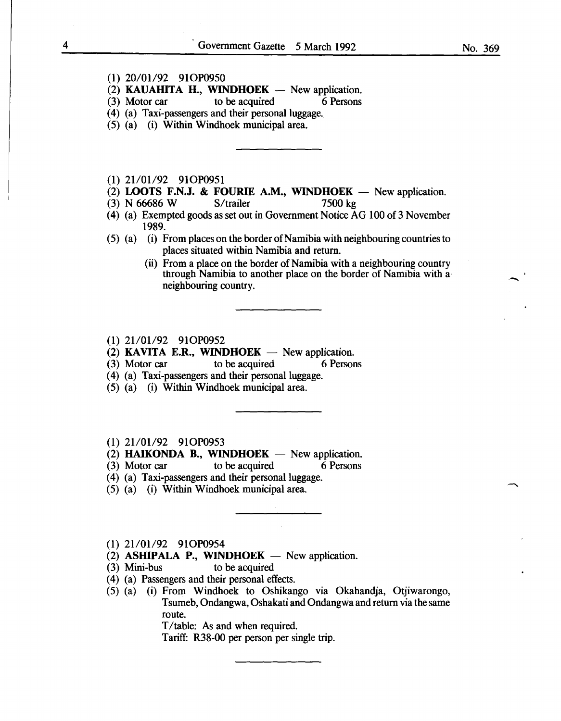- (1) 20/01/92 910P0950
- (2) **KAUAHITA H., WINDHOEK** New application.<br>(3) Motor car to be acquired 6 Persons
- to be acquired
- ( 4) (a) Taxi-passengers and their personal luggage.
- (5) (a) (i) Within Windhoek municipal area.
- (1) 21/01/92 91OP0951
- (2) LOOTS F.N.J. & FOURIE A.M., WINDHOEK  $-$  New application.
- (3) N 66686 W S/trailer 7500 kg
- (4) (a) Exempted goods as set out in Government Notice AG 100 of 3 November 1989.
- (5) (a) (i) From places on the border of Namibia with neighbouring countries to places situated within Namibia and return.
	- (ii) From a place on the border of Namibia with a neighbouring country through Namibia to another place on the border of Namibia with a· neighbouring country.
- (1) 21/01/92 91OP0952
- (2) KAVITA E.R., WINDHOEK  $-$  New application.

(3) Motor car to be acquired 6 Persons

- (4) (a) Taxi-passengers and their personal luggage.
- (5) (a) (i) Within Windhoek municipal area.
- (1) 21/01/92 91OP0953
- (2) HAIKONDA B., WINDHOEK  $-$  New application.
- (3) Motor car to be acquired 6 Persons
- (4) (a) Taxi-passengers and their personal luggage.
- (5) (a) (i) Within Windhoek municipal area.
- (1) 21/01/92 910P0954
- (2) ASHIPALA P., WINDHOEK  $-$  New application.
- (3) Mini-bus to be acquired
- ( 4) (a) Passengers and their personal effects.
- (5) (a) (i) From Windhoek to Oshikango via Okahandja, Otjiwarongo, Tsumeb, Ondangwa, Oshakati and Ondangwa and return via the same route.

T/table: As and when required.

Tariff: R38-00 per person per single trip.

**-**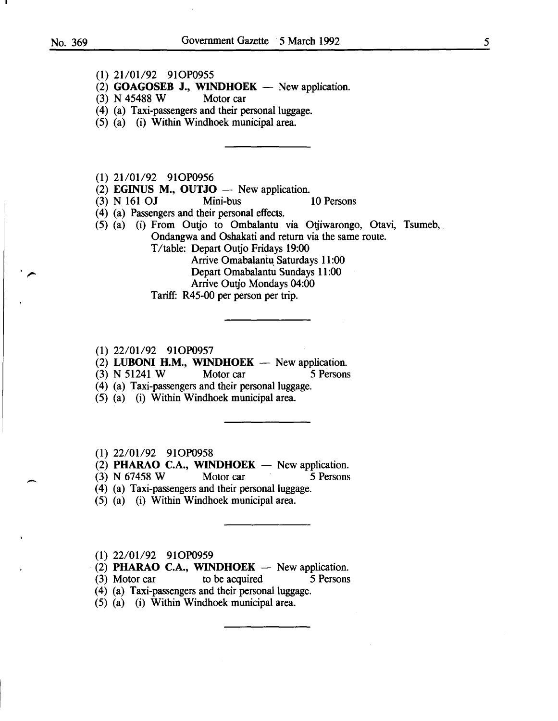$\overline{\phantom{0}}$ 

- (1) 21/01/92 910P0955
- (2) **GOAGOSEB J., WINDHOEK** New application.<br>(3) N 45488 W Motor car
- $(3)$  N 45488 W
- (4) (a) Taxi-passengers and their personal luggage.
- (5) (a) (i) Within Windhoek municipal area.
- (1) 21/01/92 910P0956
- $(2)$  **EGINUS M., OUTJO**  $-$  New application.
- (3) N 161 OJ Mini-bus 10 Persons
- ( 4) (a) Passengers and their personal effects.
- (5) (a) (i) From Outjo to Ombalantu via Otjiwarongo, Otavi, Tsumeb, Ondangwa and Oshakati and return via the same route.
	- T /table: Depart Outjo Fridays 19:00
		- Arrive Omabalantu Saturdays 11:00
		- Depart Omabalantu Sundays 11:00
		- Arrive Outjo Mondays 04:00
	- Tariff: R45-00 per person per trip.
- (1) 22/01/92 910P0957
- (2) LUBONI H.M., WINDHOEK  $-$  New application.
- (3) N 51241 W Motor car 5 Persons
- (4) (a) Taxi-passengers and their personal luggage.
- (5) (a) (i) Within Windhoek municipal area.
- (1) 22/01/92 910P0958
- $(2)$  PHARAO C.A., WINDHOEK New application.
- (3) N 67458 W Motor car 5 Persons
- (4) (a) Taxi-passengers and their personal luggage.
- (5) (a) (i) Within Windhoek municipal area.
- (1) 22/01/92 910P0959
- (2) PHARAO C.A., WINDHOEK  $-$  New application.
- (3) Motor car to be acquired 5 Persons
- (4) (a) Taxi-passengers and their personal luggage.
- (5) (a) (i) Within Windhoek municipal area.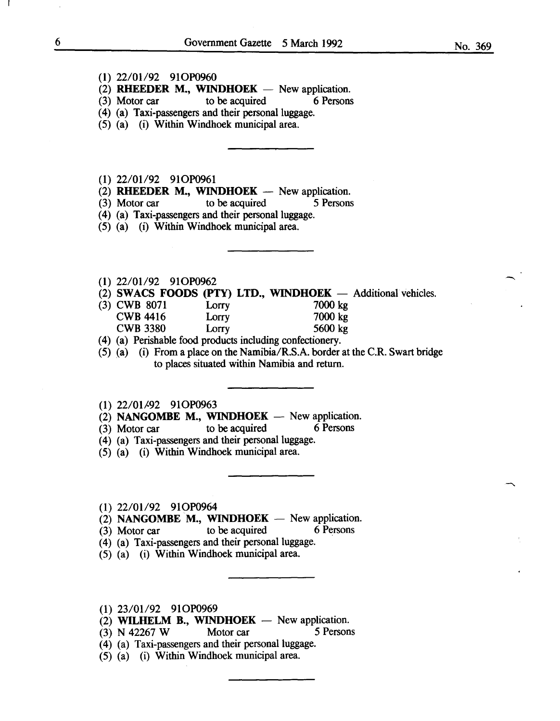### (I) 22/0I/92 9IOP0960

- $(2)$  RHEEDER M., WINDHOEK New application.
- (3) Motor car to be acquired 6 Persons
- ( 4) (a) Taxi-passengers and their personal luggage.
- (5) (a) (i) Within Windhoek municipal area.
- (1) 22/01/92 91OP0961
- (2) RHEEDER M., WINDHOEK  $-$  New application.
- (3) Motor car to be acquired 5 Persons
- (4) (a) Taxi-passengers and their personal luggage.
- (5) (a) (i) Within Windhoek municipal area.

#### (I) 22/0I/92 9IOP0962

- (2) SWACS FOODS (PTY) LTD., WINDHOEK  $-$  Additional vehicles.<br>(3) CWB 8071 Lorry 7000 kg
- (3) CWB 8071 Lorry 7000 kg<br>
CWB 4416 Lorry 7000 kg CWB 4416 Lorry 7000 kg<br>
CWB 3380 Lorry 5600 kg  $CWB 3380$  Lorry
- ( 4) (a) Perishable food products including confectionery.
- (5) (a) (i) From a place on the Namibia/R.S.A. border at the C.R. Swart bridge to places situated within Namibia and return.
- (1) 22/01/92 91OP0963
- (2) NANGOMBE M., WINDHOEK  $-$  New application.
- (3) Motor car to be acquired 6 Persons
- (4) (a) Taxi-passengers and their personal luggage.
- (5) (a) (i) Within Windhoek municipal area.
- (I) 22/0I/92 9IOP0964
- (2) NANGOMBE M., WINDHOEK  $-$  New application.
- (3) Motor car to be acquired 6 Persons
- (4) (a) Taxi-passengers and their personal luggage.
- (5) (a) (i) Within Windhoek municipal area.
- $(1)$  23/01/92 91OP0969
- (2) WILHELM B., WINDHOEK  $-$  New application.
- (3) N 42267 W Motor car 5 Persons
- (4) (a) Taxi-passengers and their personal luggage.
- (5) (a) (i) Within Windhoek municipal area.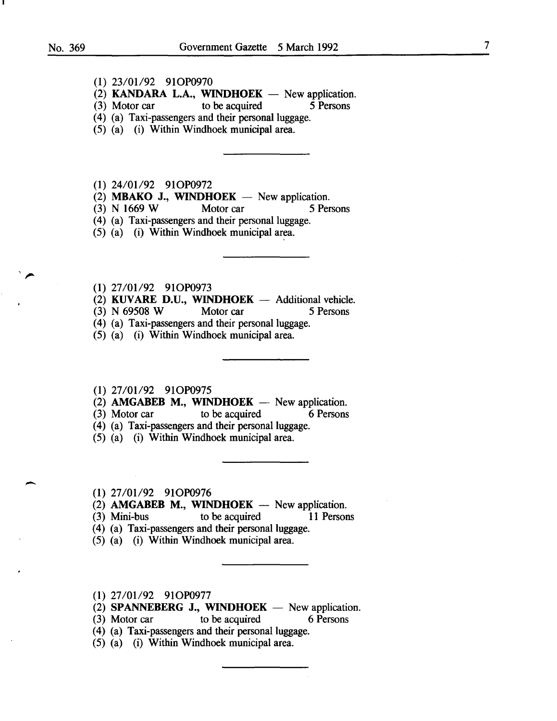-

(1) 23/01/92 91OP0970

(2) **KANDARA L.A., WINDHOEK** — New application.<br>(3) Motor car to be acquired 5 Persons

- $(3)$  Motor car to be acquired
- (4) (a) Taxi-passengers and their personal luggage.
- (5) (a) (i) Within Windhoek municipal area.

(1) 24/01/92 91OP0972

- (2) **MBAKO J., WINDHOEK**  $-$  New application.
- (3) N 1669 W Motor car 5 Persons

(4) (a) Taxi-passengers and their personal luggage.

 $(5)$   $(a)$   $(i)$  Within Windhoek municipal area.

(1) 27/01/92 91OP0973

- (2) **KUVARE D.U., WINDHOEK** Additional vehicle.<br>(3) N 69508 W Motor car 5 Persons
- $(3)$  N 69508 W
- (4) (a) Taxi-passengers and their personal luggage.
- (5) (a) (i) Within Windhoek municipal area.
- (1) 27/01/92 91OP0975
- (2) **AMGABEB M., WINDHOEK**  $-$  New application.
- (3) Motor car to be acquired 6 Persons
- (4) (a) Taxi-passengers and their personal luggage.
- (5) (a) (i) Within Windhoek municipal area.
- (1) 27/01/92 91OP0976
- $(2)$  **AMGABEB M., WINDHOEK** New application.
- (3) Mini-bus to be acquired **11** Persons
- (4) (a) Taxi-passengers and their personal luggage.
- (5) (a) (i) Within Windhoek municipal area.
- (1) 27/01/92 91OP0977
- (2) **SPANNEBERG J., WINDHOEK** New application.
- (3) Motor car to be acquired 6 Persons
- (4) (a) Taxi-passengers and their personal luggage.
- (5) (a) (i) Within Windhoek municipal area.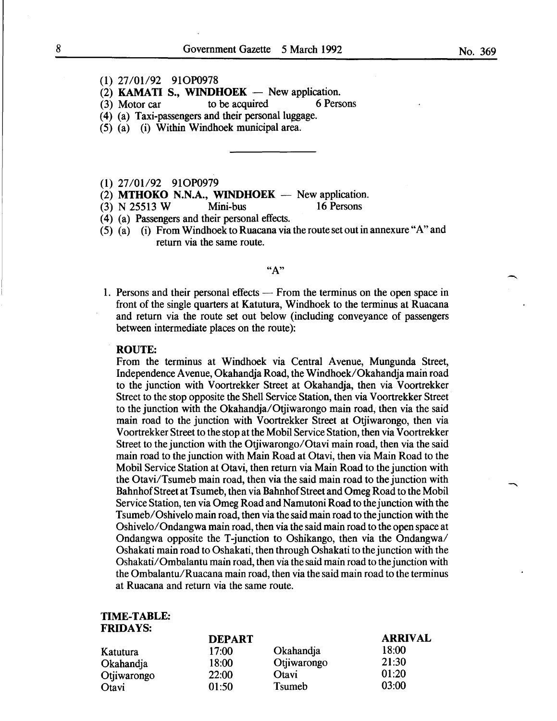- (1) 27/01/92 910P0978
- (2) **KAMATI S., WINDHOEK** New application.<br>(3) Motor car to be acquired 6 Persons
- $(3)$  Motor car to be acquired
- (4) (a) Taxi-passengers and their personal luggage.
- (5) (a) (i) Within Windhoek municipal area.

(1) 27/01/92 910P0979

 $(2)$  MTHOKO N.N.A., WINDHOEK - New application.

(3) N 25513 W Mini-bus 16 Persons

- ( 4) (a) Passengers and their personal effects.
- (5) (a) (i) From Windhoek to Ruacana via the route set out in annexure "A" and return via the same route.

 $"A"$ 

1. Persons and their personal effects — From the terminus on the open space in front of the single quarters at Katutura, Windhoek to the terminus at Ruacana and return via the route set out below (including conveyance of passengers between intermediate places on the route):

#### ROUTE:

From the terminus at Windhoek via Central Avenue, Mungunda Street, Independence Avenue, Okahandja Road, the Windhoek/Okahandja main road to the junction with Voortrekker Street at Okahandja, then via Voortrekker Street to the stop opposite the Shell Service Station, then via Voortrekker Street to the junction with the Okahandja/Otjiwarongo main road, then via the said main road to the junction with Voortrekker Street at Otjiwarongo, then via Voortrekker Street to the stop at the Mobil Service Station, then via Voortrekker Street to the junction with the Otjiwarongo/Otavi main road, then via the said main road to the junction with Main Road at Otavi, then via Main Road to the Mobil Service Station at Otavi, then return via Main Road to the junction with the Otavi/Tsumeb main road, then via the said main road to the junction with Bahnhof Street at Tsumeb, then via Bahnhof Street and Omeg Road to the Mobil Service Station, ten via Omeg Road and Namutoni Road to the junction with the Tsumeb/Oshivelo main road, then via the said main road to the junction with the Oshivelo/Ondangwa main road, then via the said main road to the open space at Ondangwa opposite the T -junction to Oshikango, then via the Ondangwa/ Oshakati main road to Oshakati, then through Oshakati to the junction with the Oshakati/Ombalantu main road, then via the said main road to the junction with the Ombalantu/Ruacana main road, then via the said main road to the terminus at Ruacana and return via the same route.

### TIME-TABLE: FRIDAYS:

|             | <b>DEPART</b> |                | <b>ARRIVAL</b> |
|-------------|---------------|----------------|----------------|
| Katutura    | 17:00         | Okahandia      | 18:00          |
| Okahandja   | 18:00         | Otjiwarongo    | 21:30          |
| Otjiwarongo | 22:00         | Otavi          | 01:20          |
| Otavi       | 01:50         | <b>T</b> sumeb | 03:00          |

-<br>-<br>-<br>-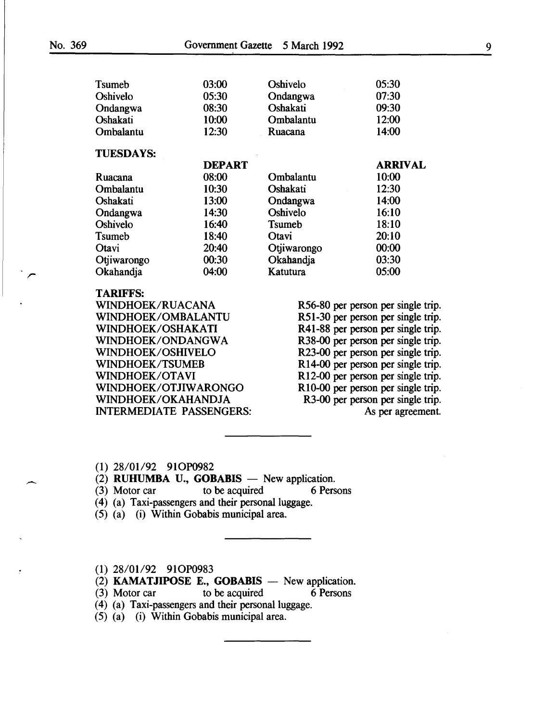| <b>T</b> sumeb   | 03:00         | Oshivelo       | 05:30          |  |
|------------------|---------------|----------------|----------------|--|
| Oshivelo         | 05:30         | Ondangwa       | 07:30          |  |
| Ondangwa         | 08:30         | Oshakati       | 09:30          |  |
| Oshakati         | 10:00         | Ombalantu      | 12:00          |  |
| Ombalantu        | 12:30         | Ruacana        | 14:00          |  |
| <b>TUESDAYS:</b> |               |                |                |  |
|                  | <b>DEPART</b> |                | <b>ARRIVAL</b> |  |
| Ruacana          | 08:00         | Ombalantu      | 10:00          |  |
| Ombalantu        | 10:30         | Oshakatı       | 12:30          |  |
| Oshakati         | 13:00         | Ondangwa       | 14:00          |  |
| Ondangwa         | 14:30         | Oshivelo       | 16:10          |  |
| Oshivelo         | 16:40         | <b>T</b> sumeb | 18:10          |  |
| <b>T</b> sumeb   | 18:40         | Otavi          | 20:10          |  |
| Otavi            | 20:40         | Otjiwarongo    | 00:00          |  |
| Otiiwarongo      | 00:30         | Okahandja      | 03:30          |  |
|                  |               |                |                |  |

TARIFFS:<br>WINDHOEK/RUACANA WINDHOEK/RUACANA R56-80 per person per single trip.<br>WINDHOEK/OMBALANTU R51-30 per person per single trip. WINDHOEK/OSHAKATI R41-88 per person per single trip.<br>WINDHOEK/ONDANGWA R38-00 per person per single trip. WINDHOEK/ONDANGWA<br>
WINDHOEK/OSHIVELO<br>
R23-00 per person per single trip.<br>
R23-00 per person per single trip. WINDHOEK/OSHIVELO<br>
WINDHOEK/TSUMEB<br>
R14-00 per person per single trip.<br>
R14-00 per person per single trip. WINDHOEK/TSUMEB R14-00 per person per single trip.<br>WINDHOEK/OTAVI R12-00 per person per single trip. WINDHOEK/OTJIWARONGO R10-00 per person per single trip.<br>WINDHOEK/OKAHANDJA R3-00 per person per single trip. INTERMEDIATE PASSENGERS: As per agreement.

R51-30 per person per single trip. R<sub>12</sub>-00 per person per single trip. R3-00 per person per single trip.

(1) 28/01/92 91OP0982

(2) RUHUMBA U., GOBABIS  $-$  New application.

*r* Okahandja 04:00 Katutura 05:00

- (3) Motor car to be acquired 6 Persons
- (4) (a) Taxi-passengers and their personal luggage.
- (5) (a) (i) Within Gobabis municipal area.

(1) 28/01/92 91OP0983

(2) KAMATJIPOSE E., GOBABIS  $-$  New application.

(3) Motor car to be acquired 6 Persons

(4) (a) Taxi-passengers and their personal luggage.

(5) (a) (i) Within Gobabis municipal area.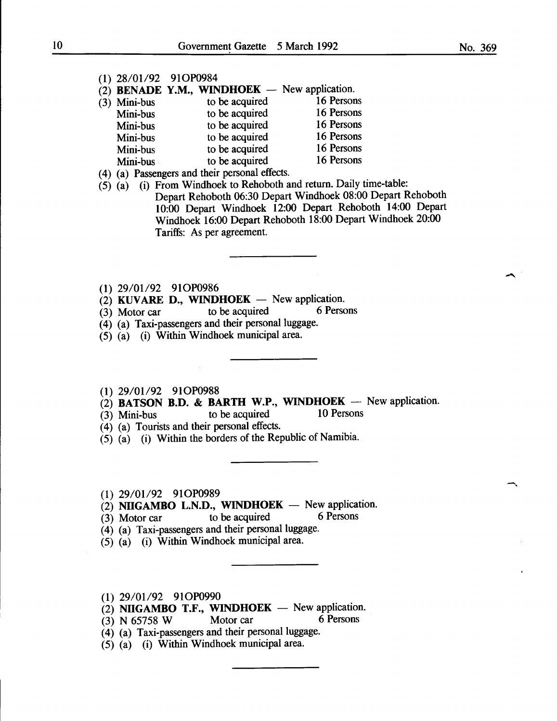- (2) **BENADE Y.M., WINDHOEK**  $-$  New application.<br>(3) Mini-bus to be acquired 16 Persons
- (3) Mini-bus to be acquired 16 Persons<br>
Mini-bus to be acquired 16 Persons Mini-bus to be acquired 16 Persons<br>
Mini-bus to be acquired 16 Persons Mini-bus to be acquired 16 Persons<br>
Mini-bus to be acquired 16 Persons Mini-bus to be acquired 16 Persons<br>
Mini-bus to be acquired 16 Persons Mini-bus to be acquired 16 Persons<br>
Mini-bus to be acquired 16 Persons Mini-bus to be acquired
- ( 4) (a) Passengers and their personal effects.
- $(5)$   $(a)$  (i) From Windhoek to Rehoboth and return. Daily time-table: Depart Rehoboth 06:30 Depart Windhoek 08:00 Depart Rehoboth 10:00 Depart Windhoek 12:00 Depart Rehoboth 14:00 Depart Windhoek 16:00 Depart Rehoboth 18:00 Depart Windhoek 20:00 Tariffs: As per agreement.
- (1) 29/01/92 91OP0986
- (2) KUVARE D., WINDHOEK  $-$  New application.<br>(3) Motor car to be acquired 6 Persons
- $(3)$  Motor car to be acquired
- (4) (a) Taxi-passengers and their personal luggage.
- (5) (a) (i) Within Windhoek municipal area.
- (1) 29/01/92 91OP0988
- (2) BATSON B.D. & BARTH W.P., WINDHOEK  $-$  New application.
- (3) Mini-bus to be acquired 10 Persons
- (4) (a) Tourists and their personal effects.
- (5) (a) (i) Within the borders of the Republic of Namibia.
- (1) 29/01/92 91OP0989
- $(2)$  NIIGAMBO L.N.D., WINDHOEK New application.
- $(3)$  Motor car to be acquired 6 Persons
- (4) (a) Taxi-passengers and their personal luggage.
- (5) (a) (i) Within Windhoek municipal area.
- $(1)$  29/01/92 91OP0990
- (2) NIIGAMBO T.F., WINDHOEK New application.<br>(3) N 65758 W Motor car 6 Persons
- $(3)$  N 65758 W Motor car
- (4) (a) Taxi-passengers and their personal luggage.
- (5) (a) (i) Within Windhoek municipal area.